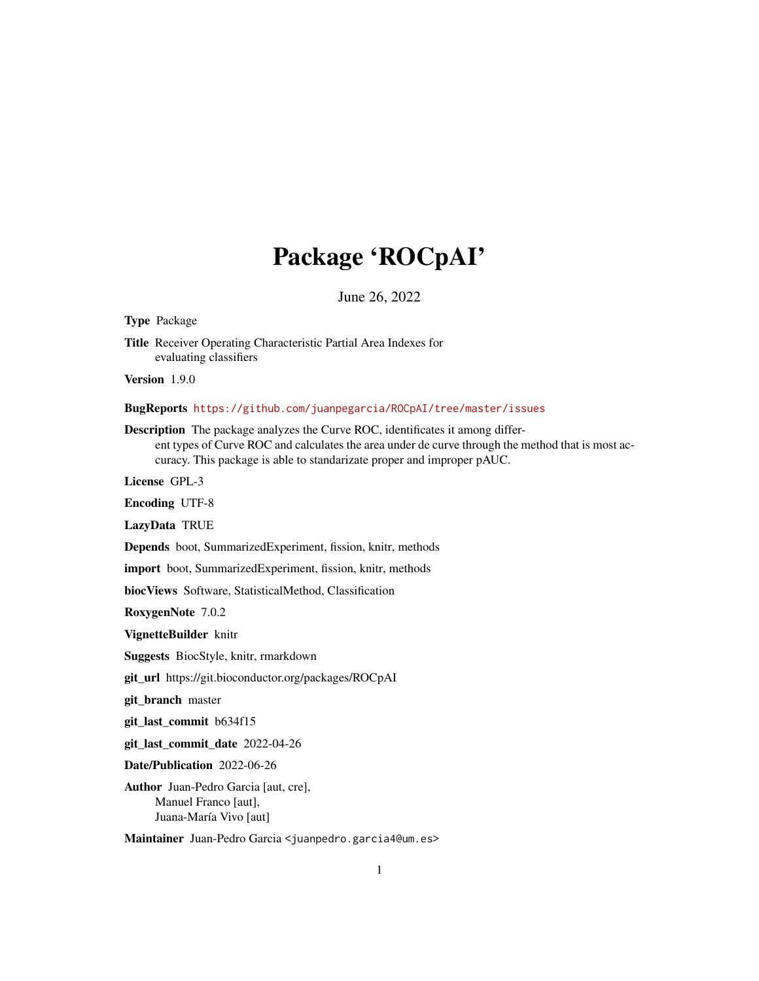## Package 'ROCpAI'

June 26, 2022

Type Package

Title Receiver Operating Characteristic Partial Area Indexes for evaluating classifiers

Version 1.9.0

BugReports <https://github.com/juanpegarcia/ROCpAI/tree/master/issues>

Description The package analyzes the Curve ROC, identificates it among different types of Curve ROC and calculates the area under de curve through the method that is most accuracy. This package is able to standarizate proper and improper pAUC.

License GPL-3

Encoding UTF-8

LazyData TRUE

Depends boot, SummarizedExperiment, fission, knitr, methods

import boot, SummarizedExperiment, fission, knitr, methods

biocViews Software, StatisticalMethod, Classification

RoxygenNote 7.0.2

VignetteBuilder knitr

Suggests BiocStyle, knitr, rmarkdown

git\_url https://git.bioconductor.org/packages/ROCpAI

git\_branch master

git\_last\_commit b634f15

git\_last\_commit\_date 2022-04-26

Date/Publication 2022-06-26

Author Juan-Pedro Garcia [aut, cre], Manuel Franco [aut], Juana-María Vivo [aut]

Maintainer Juan-Pedro Garcia <juanpedro.garcia4@um.es>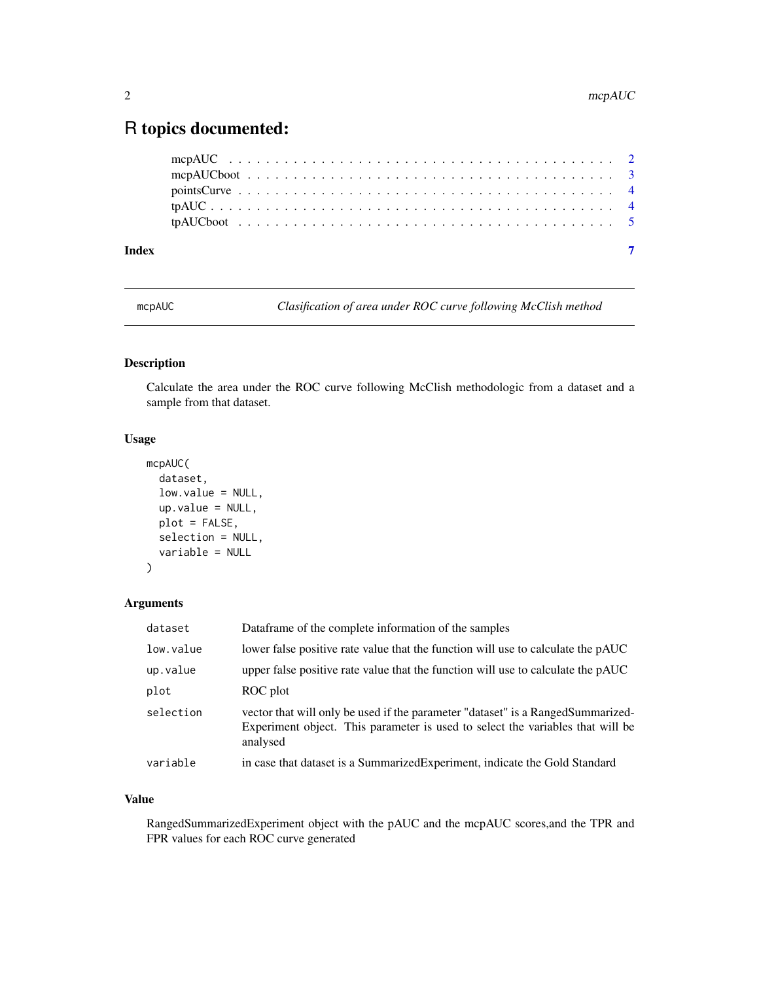### <span id="page-1-0"></span>R topics documented:

| Index |  |  |  |  |  |  |  |  |  |  |  |  |  |  |  |  |  |  |  |
|-------|--|--|--|--|--|--|--|--|--|--|--|--|--|--|--|--|--|--|--|
|       |  |  |  |  |  |  |  |  |  |  |  |  |  |  |  |  |  |  |  |
|       |  |  |  |  |  |  |  |  |  |  |  |  |  |  |  |  |  |  |  |
|       |  |  |  |  |  |  |  |  |  |  |  |  |  |  |  |  |  |  |  |
|       |  |  |  |  |  |  |  |  |  |  |  |  |  |  |  |  |  |  |  |
|       |  |  |  |  |  |  |  |  |  |  |  |  |  |  |  |  |  |  |  |

mcpAUC *Clasification of area under ROC curve following McClish method*

#### Description

Calculate the area under the ROC curve following McClish methodologic from a dataset and a sample from that dataset.

#### Usage

```
mcpAUC(
  dataset,
  low.value = NULL,
 up.value = NULL,
 plot = FALSE,
  selection = NULL,
  variable = NULL
```

```
)
```
#### Arguments

| dataset   | Dataframe of the complete information of the samples                                                                                                                          |
|-----------|-------------------------------------------------------------------------------------------------------------------------------------------------------------------------------|
| low.value | lower false positive rate value that the function will use to calculate the pAUC                                                                                              |
| up.value  | upper false positive rate value that the function will use to calculate the pAUC                                                                                              |
| plot      | ROC plot                                                                                                                                                                      |
| selection | vector that will only be used if the parameter "dataset" is a RangedSummarized-<br>Experiment object. This parameter is used to select the variables that will be<br>analysed |
| variable  | in case that dataset is a SummarizedExperiment, indicate the Gold Standard                                                                                                    |

#### Value

RangedSummarizedExperiment object with the pAUC and the mcpAUC scores,and the TPR and FPR values for each ROC curve generated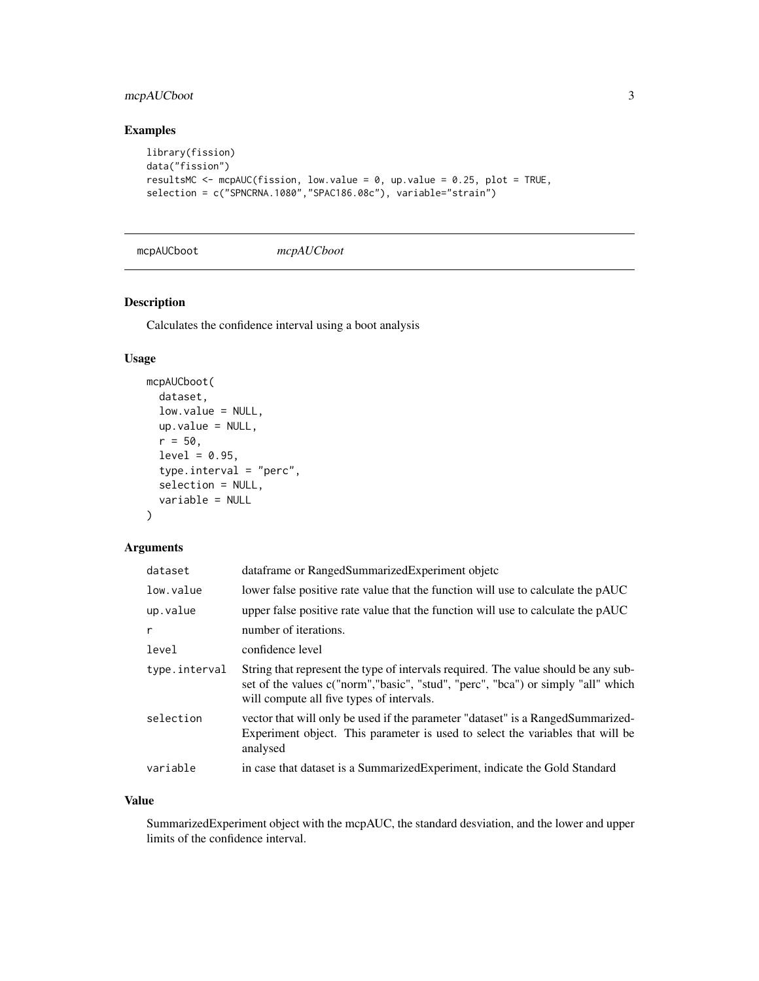#### <span id="page-2-0"></span>mcpAUCboot 3

#### Examples

```
library(fission)
data("fission")
resultsMC <- mcpAUC(fission, low.value = 0, up.value = 0.25, plot = TRUE,
selection = c("SPNCRNA.1080","SPAC186.08c"), variable="strain")
```
mcpAUCboot *mcpAUCboot*

#### Description

Calculates the confidence interval using a boot analysis

#### Usage

```
mcpAUCboot(
  dataset,
  low.value = NULL,
 up.value = NULL,
  r = 50,
  level = 0.95,type.interval = "perc",
  selection = NULL,
  variable = NULL
\mathcal{L}
```
#### Arguments

| dataset       | dataframe or RangedSummarizedExperiment objetc                                                                                                                                                                      |
|---------------|---------------------------------------------------------------------------------------------------------------------------------------------------------------------------------------------------------------------|
| low.value     | lower false positive rate value that the function will use to calculate the pAUC                                                                                                                                    |
| up.value      | upper false positive rate value that the function will use to calculate the pAUC                                                                                                                                    |
| r             | number of iterations.                                                                                                                                                                                               |
| level         | confidence level                                                                                                                                                                                                    |
| type.interval | String that represent the type of intervals required. The value should be any sub-<br>set of the values c("norm","basic", "stud", "perc", "bca") or simply "all" which<br>will compute all five types of intervals. |
| selection     | vector that will only be used if the parameter "dataset" is a RangedSummarized-<br>Experiment object. This parameter is used to select the variables that will be<br>analysed                                       |
| variable      | in case that dataset is a SummarizedExperiment, indicate the Gold Standard                                                                                                                                          |

#### Value

SummarizedExperiment object with the mcpAUC, the standard desviation, and the lower and upper limits of the confidence interval.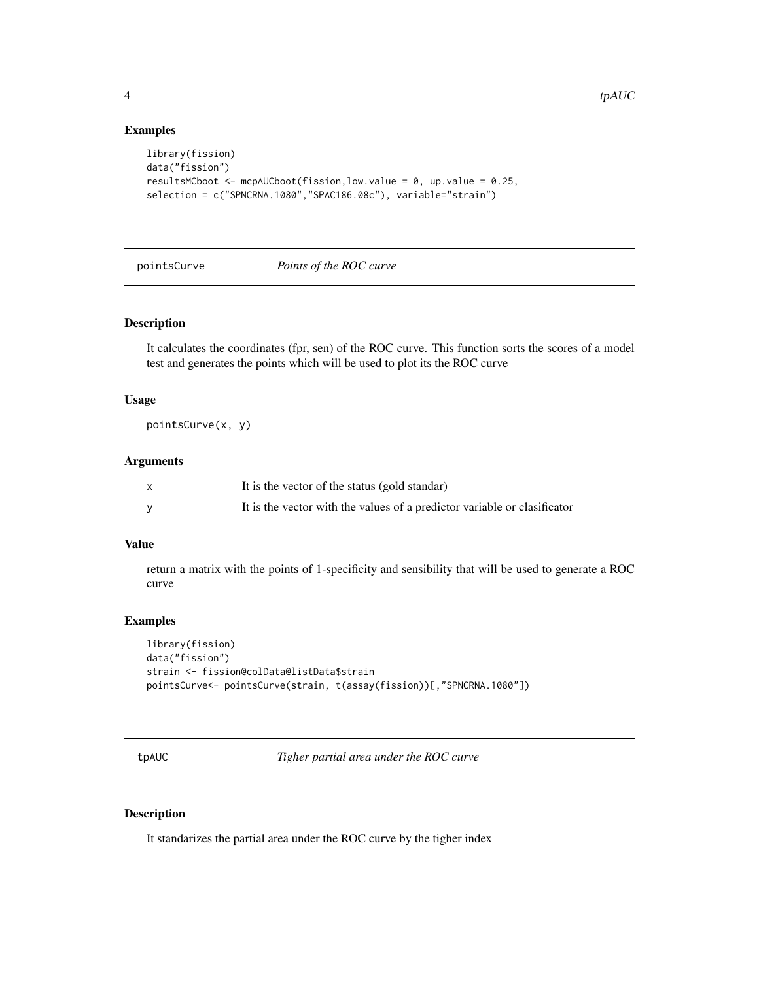#### Examples

```
library(fission)
data("fission")
resultsMCboot <- mcpAUCboot(fission,low.value = 0, up.value = 0.25,
selection = c("SPNCRNA.1080","SPAC186.08c"), variable="strain")
```
#### pointsCurve *Points of the ROC curve*

#### Description

It calculates the coordinates (fpr, sen) of the ROC curve. This function sorts the scores of a model test and generates the points which will be used to plot its the ROC curve

#### Usage

pointsCurve(x, y)

#### Arguments

| It is the vector of the status (gold standar)                            |
|--------------------------------------------------------------------------|
| It is the vector with the values of a predictor variable or clasificator |

#### Value

return a matrix with the points of 1-specificity and sensibility that will be used to generate a ROC curve

#### Examples

```
library(fission)
data("fission")
strain <- fission@colData@listData$strain
pointsCurve<- pointsCurve(strain, t(assay(fission))[,"SPNCRNA.1080"])
```
tpAUC *Tigher partial area under the ROC curve*

#### Description

It standarizes the partial area under the ROC curve by the tigher index

<span id="page-3-0"></span>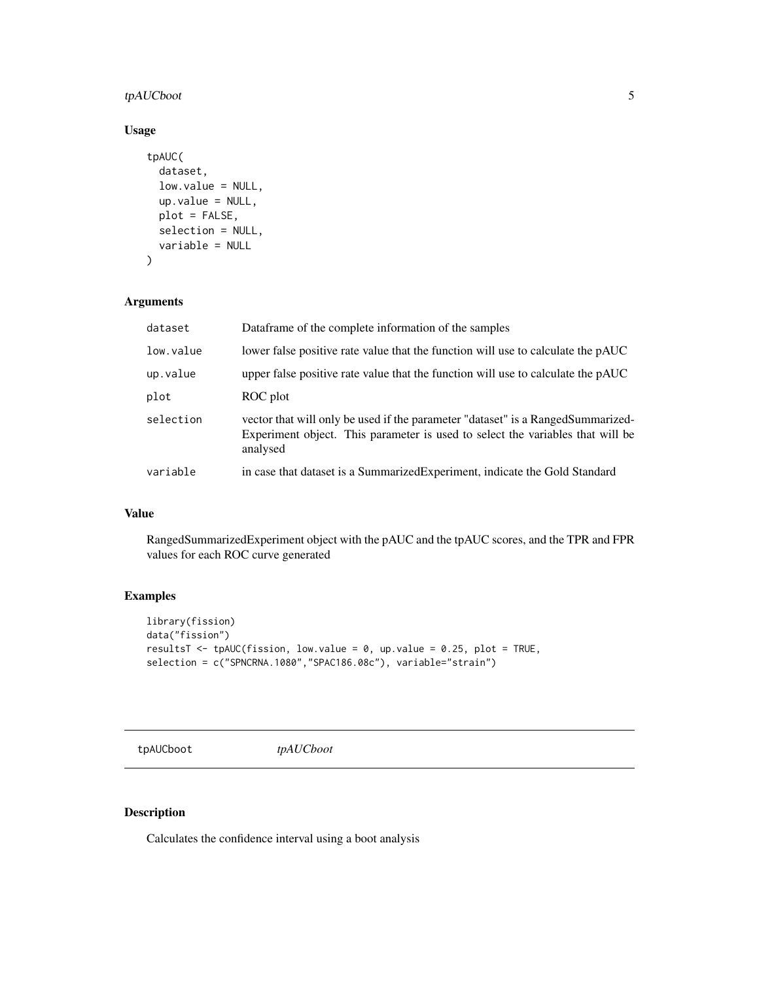#### <span id="page-4-0"></span>tpAUCboot 5

#### Usage

```
tpAUC(
  dataset,
  low.value = NULL,
  up.value = NULL,
  plot = FALSE,
  selection = NULL,
  variable = NULL
\mathcal{L}
```
#### Arguments

| dataset   | Dataframe of the complete information of the samples                                                                                                                          |
|-----------|-------------------------------------------------------------------------------------------------------------------------------------------------------------------------------|
| low.value | lower false positive rate value that the function will use to calculate the pAUC                                                                                              |
| up.value  | upper false positive rate value that the function will use to calculate the pAUC                                                                                              |
| plot      | ROC plot                                                                                                                                                                      |
| selection | vector that will only be used if the parameter "dataset" is a RangedSummarized-<br>Experiment object. This parameter is used to select the variables that will be<br>analysed |
| variable  | in case that dataset is a Summarized Experiment, indicate the Gold Standard                                                                                                   |

#### Value

RangedSummarizedExperiment object with the pAUC and the tpAUC scores, and the TPR and FPR values for each ROC curve generated

#### Examples

```
library(fission)
data("fission")
resultsT <- tpAUC(fission, low.value = 0, up.value = 0.25, plot = TRUE,
selection = c("SPNCRNA.1080","SPAC186.08c"), variable="strain")
```
tpAUCboot *tpAUCboot*

#### Description

Calculates the confidence interval using a boot analysis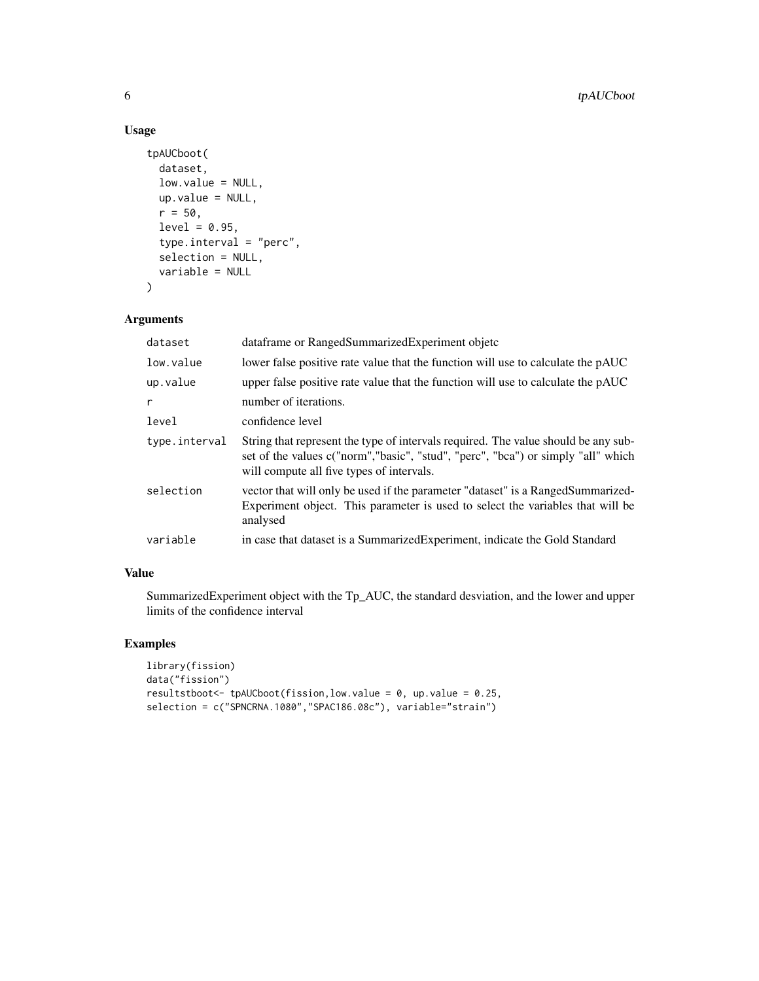#### Usage

```
tpAUCboot(
 dataset,
  low.value = NULL,
 up.value = NULL,
  r = 50,
  level = 0.95,type.interval = "perc",
  selection = NULL,
 variable = NULL
)
```
#### Arguments

| dataset       | dataframe or RangedSummarizedExperiment objetc                                                                                                                                                                      |
|---------------|---------------------------------------------------------------------------------------------------------------------------------------------------------------------------------------------------------------------|
| low.value     | lower false positive rate value that the function will use to calculate the pAUC                                                                                                                                    |
| up.value      | upper false positive rate value that the function will use to calculate the pAUC                                                                                                                                    |
| r             | number of iterations.                                                                                                                                                                                               |
| level         | confidence level                                                                                                                                                                                                    |
| type.interval | String that represent the type of intervals required. The value should be any sub-<br>set of the values c("norm","basic", "stud", "perc", "bca") or simply "all" which<br>will compute all five types of intervals. |
| selection     | vector that will only be used if the parameter "dataset" is a RangedSummarized-<br>Experiment object. This parameter is used to select the variables that will be<br>analysed                                       |
| variable      | in case that dataset is a Summarized Experiment, indicate the Gold Standard                                                                                                                                         |

#### Value

SummarizedExperiment object with the Tp\_AUC, the standard desviation, and the lower and upper limits of the confidence interval

#### Examples

```
library(fission)
data("fission")
resultstboot <- tpAUCboot(fission, low.value = 0, up.value = 0.25,
selection = c("SPNCRNA.1080","SPAC186.08c"), variable="strain")
```